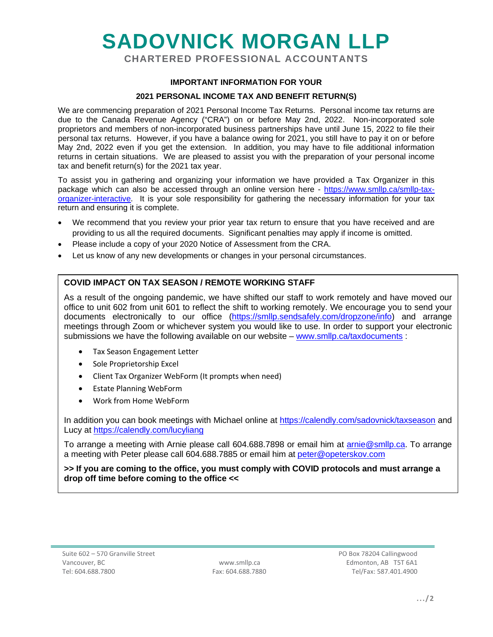# **SADOVNICK MORGAN LLP**

**CHARTERED PROFESSIONAL ACCOUNTANTS**

### **IMPORTANT INFORMATION FOR YOUR**

#### **2021 PERSONAL INCOME TAX AND BENEFIT RETURN(S)**

We are commencing preparation of 2021 Personal Income Tax Returns. Personal income tax returns are due to the Canada Revenue Agency ("CRA") on or before May 2nd, 2022. Non-incorporated sole proprietors and members of non-incorporated business partnerships have until June 15, 2022 to file their personal tax returns. However, if you have a balance owing for 2021, you still have to pay it on or before May 2nd, 2022 even if you get the extension. In addition, you may have to file additional information returns in certain situations. We are pleased to assist you with the preparation of your personal income tax and benefit return(s) for the 2021 tax year.

To assist you in gathering and organizing your information we have provided a Tax Organizer in this package which can also be accessed through an online version here - [https://www.smllp.ca/smllp-tax](https://www.smllp.ca/smllp-tax-organizer-interactive)[organizer-interactive.](https://www.smllp.ca/smllp-tax-organizer-interactive) It is your sole responsibility for gathering the necessary information for your tax return and ensuring it is complete.

- We recommend that you review your prior year tax return to ensure that you have received and are providing to us all the required documents. Significant penalties may apply if income is omitted.
- Please include a copy of your 2020 Notice of Assessment from the CRA.
- Let us know of any new developments or changes in your personal circumstances.

## **COVID IMPACT ON TAX SEASON / REMOTE WORKING STAFF**

As a result of the ongoing pandemic, we have shifted our staff to work remotely and have moved our office to unit 602 from unit 601 to reflect the shift to working remotely. We encourage you to send your documents electronically to our office [\(https://smllp.sendsafely.com/dropzone/info\)](https://smllp.sendsafely.com/dropzone/info) and arrange meetings through Zoom or whichever system you would like to use. In order to support your electronic submissions we have the following available on our website – [www.smllp.ca/taxdocuments](http://www.smllp.ca/taxdocuments) :

- Tax Season Engagement Letter
- Sole Proprietorship Excel
- Client Tax Organizer WebForm (It prompts when need)
- Estate Planning WebForm
- Work from Home WebForm

In addition you can book meetings with Michael online at<https://calendly.com/sadovnick/taxseason> and Lucy at<https://calendly.com/lucyliang>

To arrange a meeting with Arnie please call 604.688.7898 or email him at [arnie@smllp.ca.](mailto:arnie@smllp.ca) To arrange a meeting with Peter please call 604.688.7885 or email him at [peter@opeterskov.com](mailto:peter@opeterskov.com)

**>> If you are coming to the office, you must comply with COVID protocols and must arrange a drop off time before coming to the office <<**

 www.smllp.ca Fax: 604.688.7880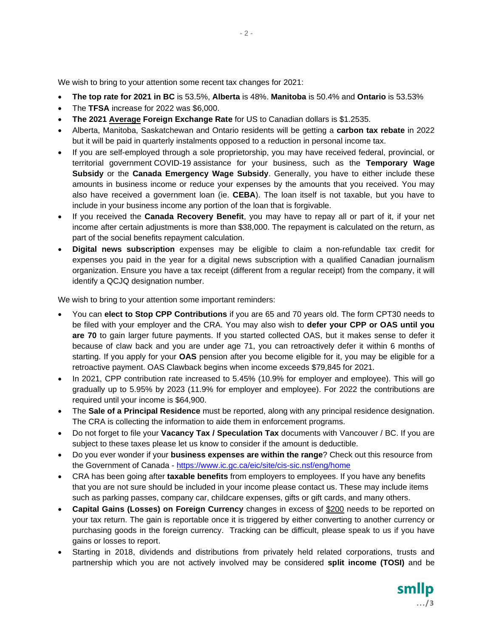We wish to bring to your attention some recent tax changes for 2021:

- **The top rate for 2021 in BC** is 53.5%, **Alberta** is 48%. **Manitoba** is 50.4% and **Ontario** is 53.53%
- The **TFSA** increase for 2022 was \$6,000.
- **The 2021 Average Foreign Exchange Rate** for US to Canadian dollars is \$1.2535.
- Alberta, Manitoba, Saskatchewan and Ontario residents will be getting a **carbon tax rebate** in 2022 but it will be paid in quarterly instalments opposed to a reduction in personal income tax.
- If you are self-employed through a sole proprietorship, you may have received federal, provincial, or territorial government COVID-19 assistance for your business, such as the **Temporary Wage Subsidy** or the **Canada Emergency Wage Subsidy**. Generally, you have to either include these amounts in business income or reduce your expenses by the amounts that you received. You may also have received a government loan (ie. **CEBA**). The loan itself is not taxable, but you have to include in your business income any portion of the loan that is forgivable.
- If you received the **Canada Recovery Benefit**, you may have to repay all or part of it, if your net income after certain adjustments is more than \$38,000. The repayment is calculated on the return, as part of the social benefits repayment calculation.
- **Digital news subscription** expenses may be eligible to claim a non-refundable tax credit for expenses you paid in the year for a digital news subscription with a qualified Canadian journalism organization. Ensure you have a tax receipt (different from a regular receipt) from the company, it will identify a QCJQ designation number.

We wish to bring to your attention some important reminders:

- You can **elect to Stop CPP Contributions** if you are 65 and 70 years old. The form CPT30 needs to be filed with your employer and the CRA. You may also wish to **defer your CPP or OAS until you are 70** to gain larger future payments. If you started collected OAS, but it makes sense to defer it because of claw back and you are under age 71, you can retroactively defer it within 6 months of starting. If you apply for your **OAS** pension after you become eligible for it, you may be eligible for a retroactive payment. OAS Clawback begins when income exceeds \$79,845 for 2021.
- In 2021, CPP contribution rate increased to 5.45% (10.9% for employer and employee). This will go gradually up to 5.95% by 2023 (11.9% for employer and employee). For 2022 the contributions are required until your income is \$64,900.
- The **Sale of a Principal Residence** must be reported, along with any principal residence designation. The CRA is collecting the information to aide them in enforcement programs.
- Do not forget to file your **Vacancy Tax / Speculation Tax** documents with Vancouver / BC. If you are subject to these taxes please let us know to consider if the amount is deductible.
- Do you ever wonder if your **business expenses are within the range**? Check out this resource from the Government of Canada - <https://www.ic.gc.ca/eic/site/cis-sic.nsf/eng/home>
- CRA has been going after **taxable benefits** from employers to employees. If you have any benefits that you are not sure should be included in your income please contact us. These may include items such as parking passes, company car, childcare expenses, gifts or gift cards, and many others.
- **Capital Gains (Losses) on Foreign Currency** changes in excess of \$200 needs to be reported on your tax return. The gain is reportable once it is triggered by either converting to another currency or purchasing goods in the foreign currency. Tracking can be difficult, please speak to us if you have gains or losses to report.
- Starting in 2018, dividends and distributions from privately held related corporations, trusts and partnership which you are not actively involved may be considered **split income (TOSI)** and be